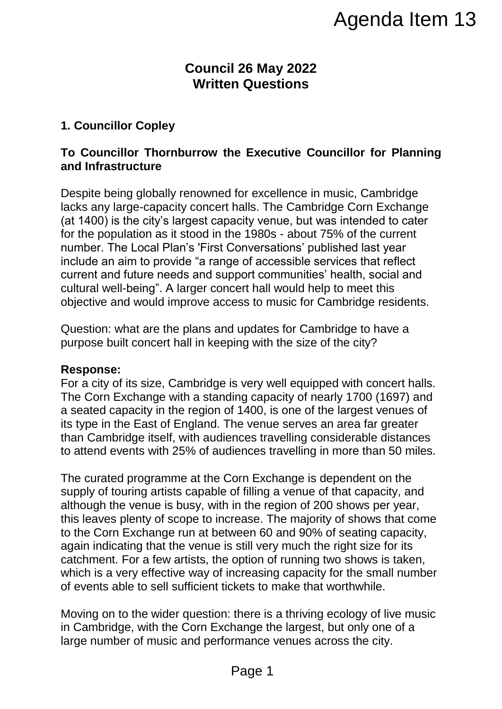# **Council 26 May 2022 Written Questions**

## **1. Councillor Copley**

## **To Councillor Thornburrow the Executive Councillor for Planning and Infrastructure**

Despite being globally renowned for excellence in music, Cambridge lacks any large-capacity concert halls. The Cambridge Corn Exchange (at 1400) is the city's largest capacity venue, but was intended to cater for the population as it stood in the 1980s - about 75% of the current number. The Local Plan's 'First Conversations' published last year include an aim to provide "a range of accessible services that reflect current and future needs and support communities' health, social and cultural well-being". A larger concert hall would help to meet this objective and would improve access to music for Cambridge residents.

Question: what are the plans and updates for Cambridge to have a purpose built concert hall in keeping with the size of the city?

#### **Response:**

For a city of its size, Cambridge is very well equipped with concert halls. The Corn Exchange with a standing capacity of nearly 1700 (1697) and a seated capacity in the region of 1400, is one of the largest venues of its type in the East of England. The venue serves an area far greater than Cambridge itself, with audiences travelling considerable distances to attend events with 25% of audiences travelling in more than 50 miles.

The curated programme at the Corn Exchange is dependent on the supply of touring artists capable of filling a venue of that capacity, and although the venue is busy, with in the region of 200 shows per year, this leaves plenty of scope to increase. The majority of shows that come to the Corn Exchange run at between 60 and 90% of seating capacity, again indicating that the venue is still very much the right size for its catchment. For a few artists, the option of running two shows is taken, which is a very effective way of increasing capacity for the small number of events able to sell sufficient tickets to make that worthwhile. Agenda Item 13<br>
126 May 2022<br>
n Questions<br>
ne Executive Councillor for Planning<br>
for excellence in music, Cambridge<br>
halls. The Cambridge Com Exchange<br>
acity venue, but was intended to cater<br>
ne 1980s - about 75% of the cu

Moving on to the wider question: there is a thriving ecology of live music in Cambridge, with the Corn Exchange the largest, but only one of a large number of music and performance venues across the city.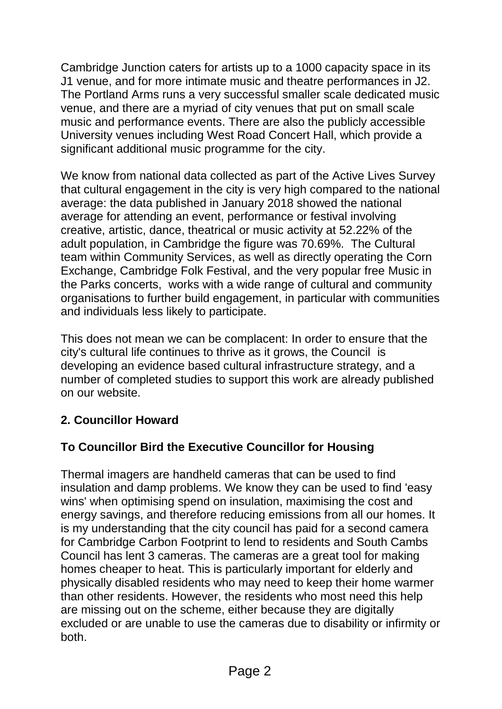Cambridge Junction caters for artists up to a 1000 capacity space in its J1 venue, and for more intimate music and theatre performances in J2. The Portland Arms runs a very successful smaller scale dedicated music venue, and there are a myriad of city venues that put on small scale music and performance events. There are also the publicly accessible University venues including West Road Concert Hall, which provide a significant additional music programme for the city.

We know from national data collected as part of the Active Lives Survey that cultural engagement in the city is very high compared to the national average: the data published in January 2018 showed the national average for attending an event, performance or festival involving creative, artistic, dance, theatrical or music activity at 52.22% of the adult population, in Cambridge the figure was 70.69%. The Cultural team within Community Services, as well as directly operating the Corn Exchange, Cambridge Folk Festival, and the very popular free Music in the Parks concerts, works with a wide range of cultural and community organisations to further build engagement, in particular with communities and individuals less likely to participate.

This does not mean we can be complacent: In order to ensure that the city's cultural life continues to thrive as it grows, the Council is developing an evidence based cultural infrastructure strategy, and a number of completed studies to support this work are already published on our website.

# **2. Councillor Howard**

# **To Councillor Bird the Executive Councillor for Housing**

Thermal imagers are handheld cameras that can be used to find insulation and damp problems. We know they can be used to find 'easy wins' when optimising spend on insulation, maximising the cost and energy savings, and therefore reducing emissions from all our homes. It is my understanding that the city council has paid for a second camera for Cambridge Carbon Footprint to lend to residents and South Cambs Council has lent 3 cameras. The cameras are a great tool for making homes cheaper to heat. This is particularly important for elderly and physically disabled residents who may need to keep their home warmer than other residents. However, the residents who most need this help are missing out on the scheme, either because they are digitally excluded or are unable to use the cameras due to disability or infirmity or both.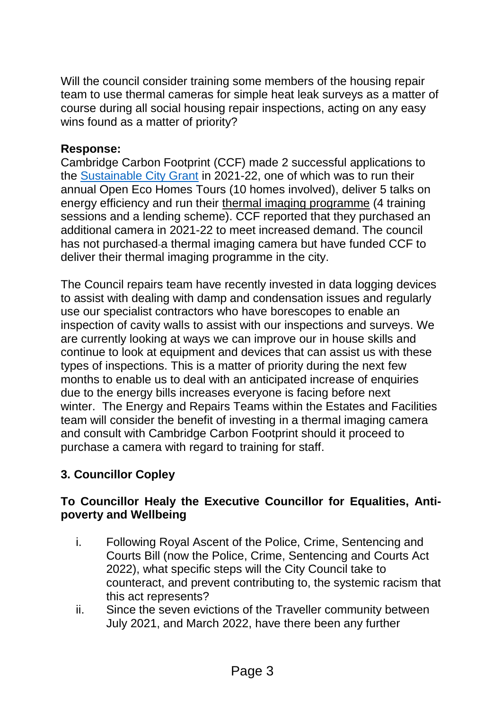Will the council consider training some members of the housing repair team to use thermal cameras for simple heat leak surveys as a matter of course during all social housing repair inspections, acting on any easy wins found as a matter of priority?

### **Response:**

Cambridge Carbon Footprint (CCF) made 2 successful applications to the [Sustainable City Grant](http://www.cambridge.gov.uk/apply-for-a-sustainable-city-grant) in 2021-22, one of which was to run their annual Open Eco Homes Tours (10 homes involved), deliver 5 talks on energy efficiency and run their thermal imaging programme (4 training sessions and a lending scheme). CCF reported that they purchased an additional camera in 2021-22 to meet increased demand. The council has not purchased a thermal imaging camera but have funded CCF to deliver their thermal imaging programme in the city.

The Council repairs team have recently invested in data logging devices to assist with dealing with damp and condensation issues and regularly use our specialist contractors who have borescopes to enable an inspection of cavity walls to assist with our inspections and surveys. We are currently looking at ways we can improve our in house skills and continue to look at equipment and devices that can assist us with these types of inspections. This is a matter of priority during the next few months to enable us to deal with an anticipated increase of enquiries due to the energy bills increases everyone is facing before next winter. The Energy and Repairs Teams within the Estates and Facilities team will consider the benefit of investing in a thermal imaging camera and consult with Cambridge Carbon Footprint should it proceed to purchase a camera with regard to training for staff.

# **3. Councillor Copley**

## **To Councillor Healy the Executive Councillor for Equalities, Antipoverty and Wellbeing**

- i. Following Royal Ascent of the Police, Crime, Sentencing and Courts Bill (now the Police, Crime, Sentencing and Courts Act 2022), what specific steps will the City Council take to counteract, and prevent contributing to, the systemic racism that this act represents?
- ii. Since the seven evictions of the Traveller community between July 2021, and March 2022, have there been any further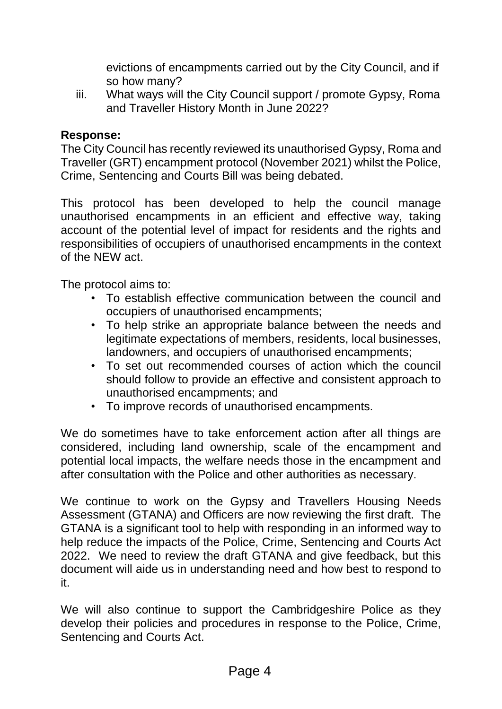evictions of encampments carried out by the City Council, and if so how many?

iii. What ways will the City Council support / promote Gypsy, Roma and Traveller History Month in June 2022?

## **Response:**

The City Council has recently reviewed its unauthorised Gypsy, Roma and Traveller (GRT) encampment protocol (November 2021) whilst the Police, Crime, Sentencing and Courts Bill was being debated.

This protocol has been developed to help the council manage unauthorised encampments in an efficient and effective way, taking account of the potential level of impact for residents and the rights and responsibilities of occupiers of unauthorised encampments in the context of the NEW act.

The protocol aims to:

- To establish effective communication between the council and occupiers of unauthorised encampments;
- To help strike an appropriate balance between the needs and legitimate expectations of members, residents, local businesses, landowners, and occupiers of unauthorised encampments;
- To set out recommended courses of action which the council should follow to provide an effective and consistent approach to unauthorised encampments; and
- To improve records of unauthorised encampments.

We do sometimes have to take enforcement action after all things are considered, including land ownership, scale of the encampment and potential local impacts, the welfare needs those in the encampment and after consultation with the Police and other authorities as necessary.

We continue to work on the Gypsy and Travellers Housing Needs Assessment (GTANA) and Officers are now reviewing the first draft. The GTANA is a significant tool to help with responding in an informed way to help reduce the impacts of the Police, Crime, Sentencing and Courts Act 2022. We need to review the draft GTANA and give feedback, but this document will aide us in understanding need and how best to respond to it.

We will also continue to support the Cambridgeshire Police as they develop their policies and procedures in response to the Police, Crime, Sentencing and Courts Act.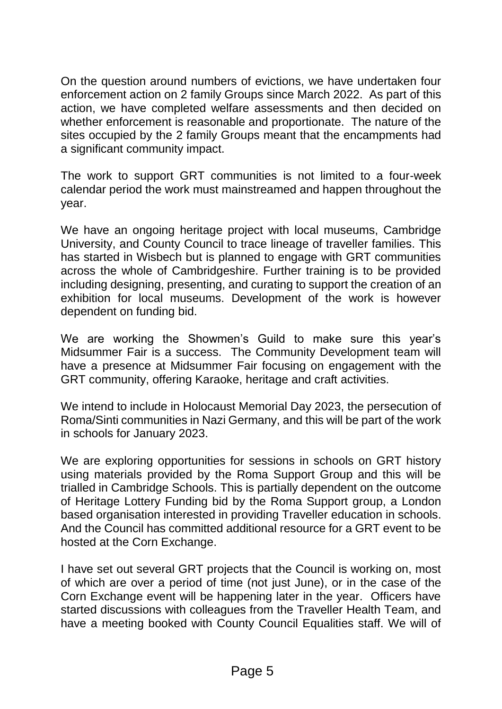On the question around numbers of evictions, we have undertaken four enforcement action on 2 family Groups since March 2022. As part of this action, we have completed welfare assessments and then decided on whether enforcement is reasonable and proportionate. The nature of the sites occupied by the 2 family Groups meant that the encampments had a significant community impact.

The work to support GRT communities is not limited to a four-week calendar period the work must mainstreamed and happen throughout the year.

We have an ongoing heritage project with local museums, Cambridge University, and County Council to trace lineage of traveller families. This has started in Wisbech but is planned to engage with GRT communities across the whole of Cambridgeshire. Further training is to be provided including designing, presenting, and curating to support the creation of an exhibition for local museums. Development of the work is however dependent on funding bid.

We are working the Showmen's Guild to make sure this year's Midsummer Fair is a success. The Community Development team will have a presence at Midsummer Fair focusing on engagement with the GRT community, offering Karaoke, heritage and craft activities.

We intend to include in Holocaust Memorial Day 2023, the persecution of Roma/Sinti communities in Nazi Germany, and this will be part of the work in schools for January 2023.

We are exploring opportunities for sessions in schools on GRT history using materials provided by the Roma Support Group and this will be trialled in Cambridge Schools. This is partially dependent on the outcome of Heritage Lottery Funding bid by the Roma Support group, a London based organisation interested in providing Traveller education in schools. And the Council has committed additional resource for a GRT event to be hosted at the Corn Exchange.

I have set out several GRT projects that the Council is working on, most of which are over a period of time (not just June), or in the case of the Corn Exchange event will be happening later in the year. Officers have started discussions with colleagues from the Traveller Health Team, and have a meeting booked with County Council Equalities staff. We will of